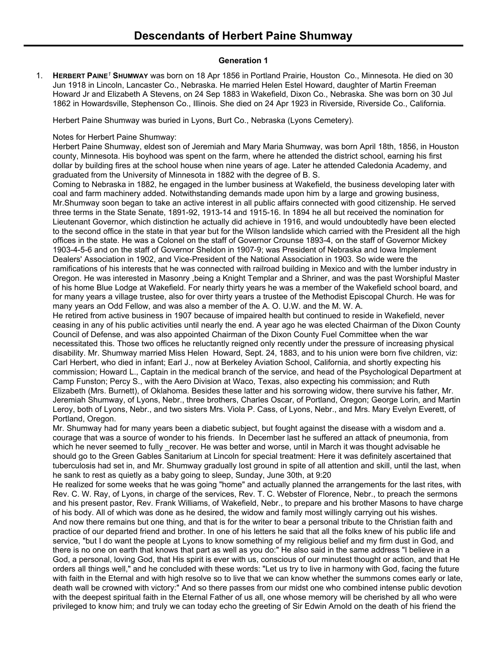# **Generation 1**

1. **HERBERT PAINE***<sup>1</sup>* **SHUMWAY** was born on 18 Apr 1856 in Portland Prairie, Houston Co., Minnesota. He died on 30 Jun 1918 in Lincoln, Lancaster Co., Nebraska. He married Helen Estel Howard, daughter of Martin Freeman Howard Jr and Elizabeth A Stevens, on 24 Sep 1883 in Wakefield, Dixon Co., Nebraska. She was born on 30 Jul 1862 in Howardsville, Stephenson Co., Illinois. She died on 24 Apr 1923 in Riverside, Riverside Co., California.

Herbert Paine Shumway was buried in Lyons, Burt Co., Nebraska (Lyons Cemetery).

## Notes for Herbert Paine Shumway:

Herbert Paine Shumway, eldest son of Jeremiah and Mary Maria Shumway, was born April 18th, 1856, in Houston county, Minnesota. His boyhood was spent on the farm, where he attended the district school, earning his first dollar by building fires at the school house when nine years of age. Later he attended Caledonia Academy, and graduated from the University of Minnesota in 1882 with the degree of B. S.

Coming to Nebraska in 1882, he engaged in the lumber business at Wakefield, the business developing later with coal and farm machinery added. Notwithstanding demands made upon him by a large and growing business, Mr.Shumway soon began to take an active interest in all public affairs connected with good citizenship. He served three terms in the State Senate, 1891-92, 1913-14 and 1915-16. In 1894 he all but received the nomination for Lieutenant Governor, which distinction he actually did achieve in 1916, and would undoubtedly have been elected to the second office in the state in that year but for the Wilson landslide which carried with the President all the high offices in the state. He was a Colonel on the staff of Governor Crounse 1893-4, on the staff of Governor Mickey 1903-4-5-6 and on the staff of Governor Sheldon in 1907-9; was President of Nebraska and Iowa Implement Dealers' Association in 1902, and Vice-President of the National Association in 1903. So wide were the ramifications of his interests that he was connected with railroad building in Mexico and with the lumber industry in Oregon. He was interested in Masonry ,being a Knight Templar and a Shriner, and was the past Worshipful Master of his home Blue Lodge at Wakefield. For nearly thirty years he was a member of the Wakefield school board, and for many years a village trustee, also for over thirty years a trustee of the Methodist Episcopal Church. He was for many years an Odd Fellow, and was also a member of the A. O. U.W. and the M. W. A.

He retired from active business in 1907 because of impaired health but continued to reside in Wakefield, never ceasing in any of his public activities until nearly the end. A year ago he was elected Chairman of the Dixon County Council of Defense, and was also appointed Chairman of the Dixon County Fuel Committee when the war necessitated this. Those two offices he reluctantly reigned only recently under the pressure of increasing physical disability. Mr. Shumway married Miss Helen Howard, Sept. 24, 1883, and to his union were born five children, viz: Carl Herbert, who died in infant; Earl J., now at Berkeley Aviation School, California, and shortly expecting his commission; Howard L., Captain in the medical branch of the service, and head of the Psychological Department at Camp Funston; Percy S., with the Aero Division at Waco, Texas, also expecting his commission; and Ruth Elizabeth (Mrs. Burnett), of Oklahoma. Besides these latter and his sorrowing widow, there survive his father, Mr. Jeremiah Shumway, of Lyons, Nebr., three brothers, Charles Oscar, of Portland, Oregon; George Lorin, and Martin Leroy, both of Lyons, Nebr., and two sisters Mrs. Viola P. Cass, of Lyons, Nebr., and Mrs. Mary Evelyn Everett, of Portland, Oregon.

Mr. Shumway had for many years been a diabetic subject, but fought against the disease with a wisdom and a. courage that was a source of wonder to his friends. In December last he suffered an attack of pneumonia, from which he never seemed to fully recover. He was better and worse, until in March it was thought advisable he should go to the Green Gables Sanitarium at Lincoln for special treatment: Here it was definitely ascertained that tuberculosis had set in, and Mr. Shumway gradually lost ground in spite of all attention and skill, until the last, when he sank to rest as quietly as a baby going to sleep, Sunday, June 30th, at 9:20

He realized for some weeks that he was going "home" and actually planned the arrangements for the last rites, with Rev. C. W. Ray, of Lyons, in charge of the services, Rev. T. C. Webster of Florence, Nebr., to preach the sermons and his present pastor, Rev. Frank Williams, of Wakefield, Nebr., to prepare and his brother Masons to have charge of his body. All of which was done as he desired, the widow and family most willingly carrying out his wishes. And now there remains but one thing, and that is for the writer to bear a personal tribute to the Christian faith and practice of our departed friend and brother. In one of his letters he said that all the folks knew of his public life and service, "but I do want the people at Lyons to know something of my religious belief and my firm dust in God, and there is no one on earth that knows that part as well as you do:" He also said in the same address "I believe in a God, a personal, loving God, that His spirit is ever with us, conscious of our minutest thought or action, and that He orders all things well," and he concluded with these words: "Let us try to live in harmony with God, facing the future with faith in the Eternal and with high resolve so to live that we can know whether the summons comes early or late, death wall be crowned with victory:" And so there passes from our midst one who combined intense public devotion with the deepest spiritual faith in the Eternal Father of us all, one whose memory will be cherished by all who were privileged to know him; and truly we can today echo the greeting of Sir Edwin Arnold on the death of his friend the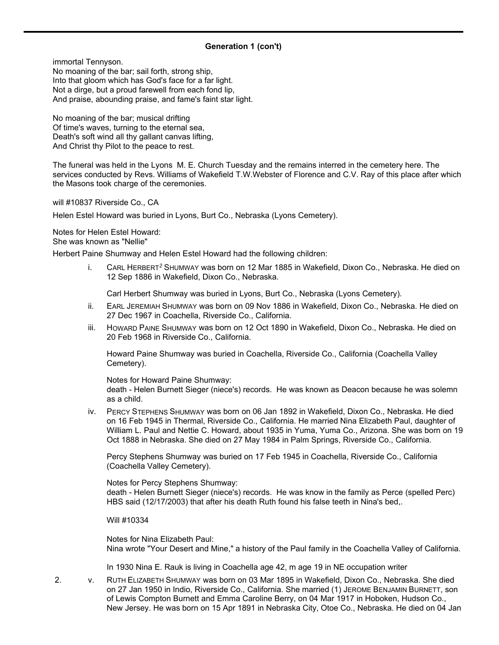### **Generation 1 (con't)**

immortal Tennyson. No moaning of the bar; sail forth, strong ship, Into that gloom which has God's face for a far light.

Not a dirge, but a proud farewell from each fond lip, And praise, abounding praise, and fame's faint star light.

No moaning of the bar; musical drifting Of time's waves, turning to the eternal sea, Death's soft wind all thy gallant canvas lifting, And Christ thy Pilot to the peace to rest.

The funeral was held in the Lyons M. E. Church Tuesday and the remains interred in the cemetery here. The services conducted by Revs. Williams of Wakefield T.W.Webster of Florence and C.V. Ray of this place after which the Masons took charge of the ceremonies.

will #10837 Riverside Co., CA

Helen Estel Howard was buried in Lyons, Burt Co., Nebraska (Lyons Cemetery).

Notes for Helen Estel Howard: She was known as "Nellie"

Herbert Paine Shumway and Helen Estel Howard had the following children:

i. CARL HERBERT*<sup>2</sup>* SHUMWAY was born on 12 Mar 1885 in Wakefield, Dixon Co., Nebraska. He died on 12 Sep 1886 in Wakefield, Dixon Co., Nebraska.

Carl Herbert Shumway was buried in Lyons, Burt Co., Nebraska (Lyons Cemetery).

- ii. EARL JEREMIAH SHUMWAY was born on 09 Nov 1886 in Wakefield, Dixon Co., Nebraska. He died on 27 Dec 1967 in Coachella, Riverside Co., California.
- iii. HOWARD PAINE SHUMWAY was born on 12 Oct 1890 in Wakefield, Dixon Co., Nebraska. He died on 20 Feb 1968 in Riverside Co., California.

Howard Paine Shumway was buried in Coachella, Riverside Co., California (Coachella Valley Cemetery).

Notes for Howard Paine Shumway:

death - Helen Burnett Sieger (niece's) records. He was known as Deacon because he was solemn as a child.

iv. PERCY STEPHENS SHUMWAY was born on 06 Jan 1892 in Wakefield, Dixon Co., Nebraska. He died on 16 Feb 1945 in Thermal, Riverside Co., California. He married Nina Elizabeth Paul, daughter of William L. Paul and Nettie C. Howard, about 1935 in Yuma, Yuma Co., Arizona. She was born on 19 Oct 1888 in Nebraska. She died on 27 May 1984 in Palm Springs, Riverside Co., California.

Percy Stephens Shumway was buried on 17 Feb 1945 in Coachella, Riverside Co., California (Coachella Valley Cemetery).

Notes for Percy Stephens Shumway: death - Helen Burnett Sieger (niece's) records. He was know in the family as Perce (spelled Perc) HBS said (12/17/2003) that after his death Ruth found his false teeth in Nina's bed,.

Will #10334

Notes for Nina Elizabeth Paul: Nina wrote "Your Desert and Mine," a history of the Paul family in the Coachella Valley of California.

In 1930 Nina E. Rauk is living in Coachella age 42, m age 19 in NE occupation writer

2. v. RUTH ELIZABETH SHUMWAY was born on 03 Mar 1895 in Wakefield, Dixon Co., Nebraska. She died on 27 Jan 1950 in Indio, Riverside Co., California. She married (1) JEROME BENJAMIN BURNETT, son of Lewis Compton Burnett and Emma Caroline Berry, on 04 Mar 1917 in Hoboken, Hudson Co., New Jersey. He was born on 15 Apr 1891 in Nebraska City, Otoe Co., Nebraska. He died on 04 Jan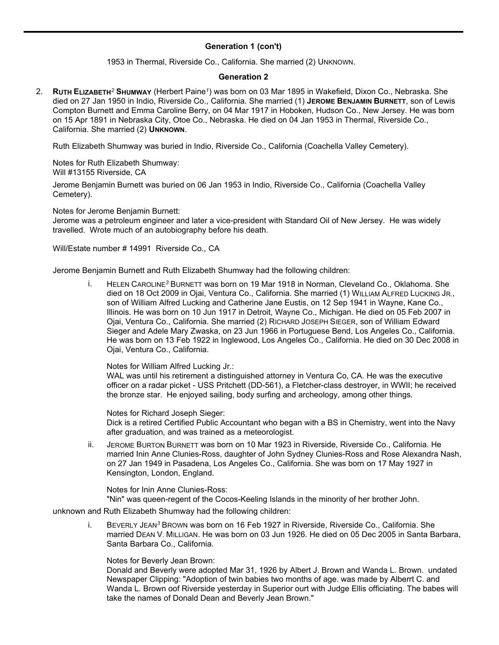# **Generation 1 (con't)**

1953 in Thermal, Riverside Co., California. She married (2) UNKNOWN.

#### **Generation 2**

2. **RUTH ELIZABETH***<sup>2</sup>* **SHUMWAY** (Herbert Paine*<sup>1</sup>* ) was born on 03 Mar 1895 in Wakefield, Dixon Co., Nebraska. She died on 27 Jan 1950 in Indio, Riverside Co., California. She married (1) **JEROME BENJAMIN BURNETT**, son of Lewis Compton Burnett and Emma Caroline Berry, on 04 Mar 1917 in Hoboken, Hudson Co., New Jersey. He was born on 15 Apr 1891 in Nebraska City, Otoe Co., Nebraska. He died on 04 Jan 1953 in Thermal, Riverside Co., California. She married (2) **UNKNOWN**.

Ruth Elizabeth Shumway was buried in Indio, Riverside Co., California (Coachella Valley Cemetery).

Notes for Ruth Elizabeth Shumway: Will #13155 Riverside, CA

Jerome Benjamin Burnett was buried on 06 Jan 1953 in Indio, Riverside Co., California (Coachella Valley Cemetery).

Notes for Jerome Benjamin Burnett:

Jerome was a petroleum engineer and later a vice-president with Standard Oil of New Jersey. He was widely travelled. Wrote much of an autobiography before his death.

Will/Estate number # 14991 Riverside Co., CA

Jerome Benjamin Burnett and Ruth Elizabeth Shumway had the following children:

i. HELEN CAROLINE*<sup>3</sup>* BURNETT was born on 19 Mar 1918 in Norman, Cleveland Co., Oklahoma. She died on 18 Oct 2009 in Ojai, Ventura Co., California. She married (1) WILLIAM ALFRED LUCKING JR., son of William Alfred Lucking and Catherine Jane Eustis, on 12 Sep 1941 in Wayne, Kane Co., Illinois. He was born on 10 Jun 1917 in Detroit, Wayne Co., Michigan. He died on 05 Feb 2007 in Ojai, Ventura Co., California. She married (2) RICHARD JOSEPH SIEGER, son of William Edward Sieger and Adele Mary Zwaska, on 23 Jun 1966 in Portuguese Bend, Los Angeles Co., California. He was born on 13 Feb 1922 in Inglewood, Los Angeles Co., California. He died on 30 Dec 2008 in Ojai, Ventura Co., California.

Notes for William Alfred Lucking Jr.:

WAL was until his retirement a distinguished attorney in Ventura Co, CA. He was the executive officer on a radar picket - USS Pritchett (DD-561), a Fletcher-class destroyer, in WWII; he received the bronze star. He enjoyed sailing, body surfing and archeology, among other things.

Notes for Richard Joseph Sieger: Dick is a retired Certified Public Accountant who began with a BS in Chemistry, went into the Navy after graduation, and was trained as a meteorologist.

ii. JEROME BURTON BURNETT was born on 10 Mar 1923 in Riverside, Riverside Co., California. He married Inin Anne Clunies-Ross, daughter of John Sydney Clunies-Ross and Rose Alexandra Nash, on 27 Jan 1949 in Pasadena, Los Angeles Co., California. She was born on 17 May 1927 in Kensington, London, England.

Notes for Inin Anne Clunies-Ross:

"Nin" was queen-regent of the Cocos-Keeling Islands in the minority of her brother John.

#### unknown and Ruth Elizabeth Shumway had the following children:

i. BEVERLY JEAN*<sup>3</sup>* BROWN was born on 16 Feb 1927 in Riverside, Riverside Co., California. She married DEAN V. MILLIGAN. He was born on 03 Jun 1926. He died on 05 Dec 2005 in Santa Barbara, Santa Barbara Co., California.

Notes for Beverly Jean Brown:

Donald and Beverly were adopted Mar 31, 1926 by Albert J. Brown and Wanda L. Brown. undated Newspaper Clipping: "Adoption of twin babies two months of age. was made by Alberrt C. and Wanda L. Brown oof Riverside yesterday in Superior ourt with Judge Ellis officiating. The babes will take the names of Donald Dean and Beverly Jean Brown."